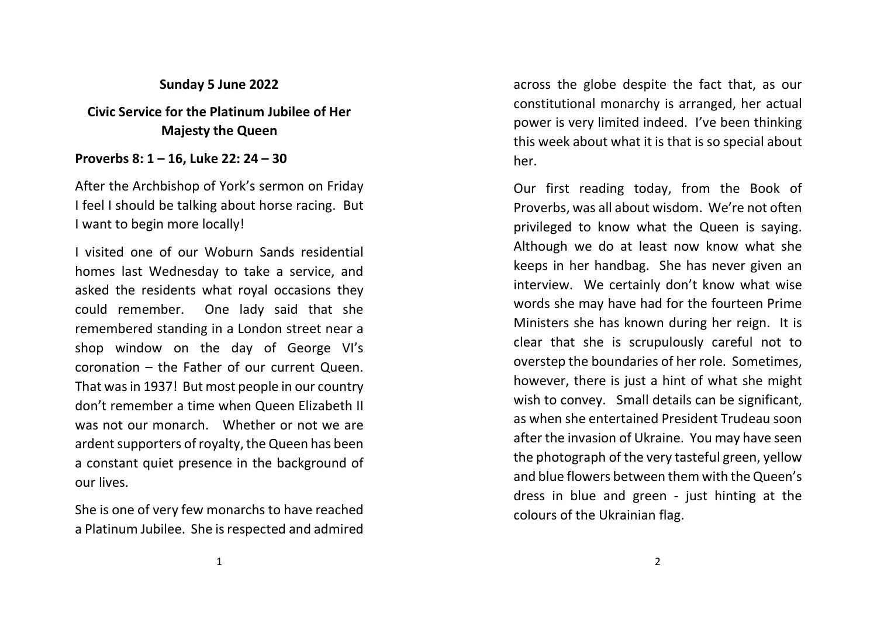## Sunday 5 June 2022

## Civic Service for the Platinum Jubilee of Her Majesty the Queen

## Proverbs 8: 1 – 16, Luke 22: 24 – 30

After the Archbishop of York's sermon on Friday I feel I should be talking about horse racing. But I want to begin more locally!

I visited one of our Woburn Sands residential homes last Wednesday to take a service, and asked the residents what royal occasions they could remember. One lady said that she remembered standing in a London street near a shop window on the day of George VI's coronation – the Father of our current Queen. That was in 1937! But most people in our country don't remember a time when Queen Elizabeth II was not our monarch. Whether or not we are ardent supporters of royalty, the Queen has been a constant quiet presence in the background of our lives.

She is one of very few monarchs to have reached a Platinum Jubilee. She is respected and admired

across the globe despite the fact that, as our constitutional monarchy is arranged, her actual power is very limited indeed. I've been thinking this week about what it is that is so special about her.

Our first reading today, from the Book of Proverbs, was all about wisdom. We're not often privileged to know what the Queen is saying. Although we do at least now know what she keeps in her handbag. She has never given an interview. We certainly don't know what wise words she may have had for the fourteen Prime Ministers she has known during her reign. It is clear that she is scrupulously careful not to overstep the boundaries of her role. Sometimes, however, there is just a hint of what she might wish to convey. Small details can be significant, as when she entertained President Trudeau soon after the invasion of Ukraine. You may have seen the photograph of the very tasteful green, yellow and blue flowers between them with the Queen's dress in blue and green - just hinting at the colours of the Ukrainian flag.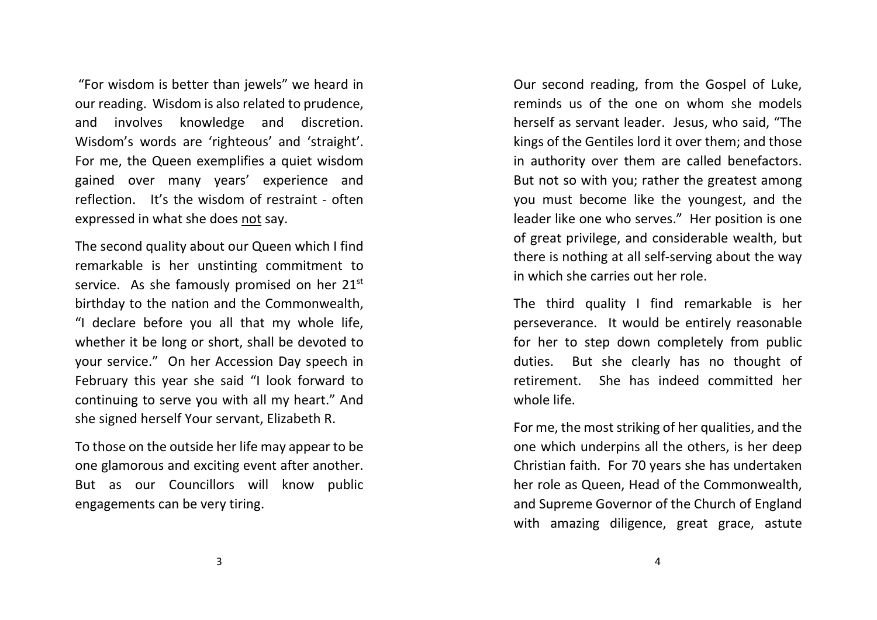"For wisdom is better than jewels" we heard in our reading. Wisdom is also related to prudence, and involves knowledge and discretion. Wisdom's words are 'righteous' and 'straight'. For me, the Queen exemplifies a quiet wisdom gained over many years' experience and reflection. It's the wisdom of restraint - often expressed in what she does not say.

The second quality about our Queen which I find remarkable is her unstinting commitment to service. As she famously promised on her 21<sup>st</sup> birthday to the nation and the Commonwealth, "I declare before you all that my whole life, whether it be long or short, shall be devoted to your service." On her Accession Day speech in February this year she said "I look forward to continuing to serve you with all my heart." And she signed herself Your servant, Elizabeth R.

To those on the outside her life may appear to be one glamorous and exciting event after another. But as our Councillors will know public engagements can be very tiring.

Our second reading, from the Gospel of Luke, reminds us of the one on whom she models herself as servant leader. Jesus, who said, "The kings of the Gentiles lord it over them; and those in authority over them are called benefactors. But not so with you; rather the greatest among you must become like the youngest, and the leader like one who serves." Her position is one of great privilege, and considerable wealth, but there is nothing at all self-serving about the way in which she carries out her role.

The third quality I find remarkable is her perseverance. It would be entirely reasonable for her to step down completely from public duties. But she clearly has no thought of retirement. She has indeed committed her whole life.

For me, the most striking of her qualities, and the one which underpins all the others, is her deep Christian faith. For 70 years she has undertaken her role as Queen, Head of the Commonwealth, and Supreme Governor of the Church of England with amazing diligence, great grace, astute

3